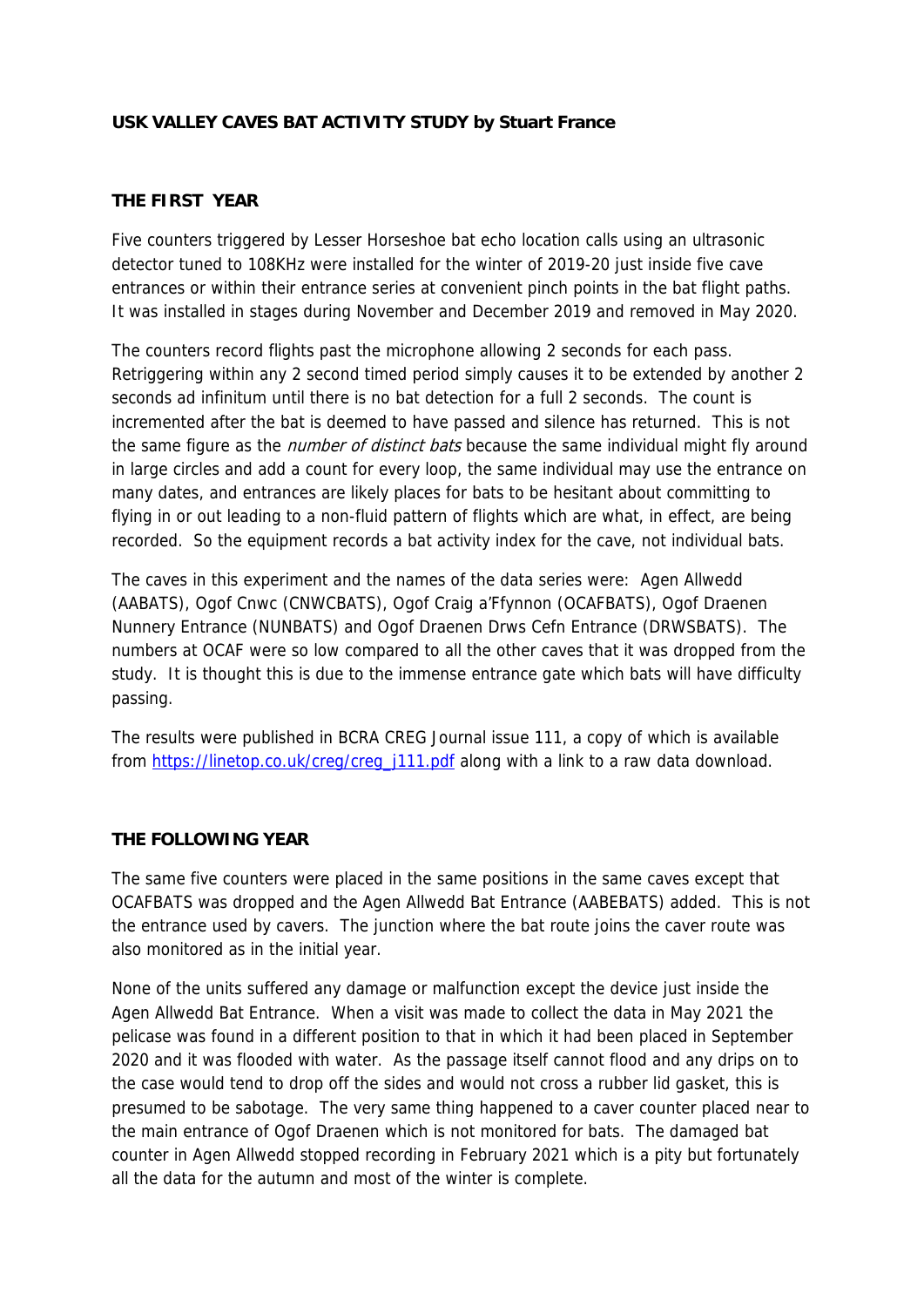### **USK VALLEY CAVES BAT ACTIVITY STUDY by Stuart France**

### **THE FIRST YEAR**

Five counters triggered by Lesser Horseshoe bat echo location calls using an ultrasonic detector tuned to 108KHz were installed for the winter of 2019-20 just inside five cave entrances or within their entrance series at convenient pinch points in the bat flight paths. It was installed in stages during November and December 2019 and removed in May 2020.

The counters record flights past the microphone allowing 2 seconds for each pass. Retriggering within any 2 second timed period simply causes it to be extended by another 2 seconds ad infinitum until there is no bat detection for a full 2 seconds. The count is incremented after the bat is deemed to have passed and silence has returned. This is not the same figure as the *number of distinct bats* because the same individual might fly around in large circles and add a count for every loop, the same individual may use the entrance on many dates, and entrances are likely places for bats to be hesitant about committing to flying in or out leading to a non-fluid pattern of flights which are what, in effect, are being recorded. So the equipment records a bat activity index for the cave, not individual bats.

The caves in this experiment and the names of the data series were: Agen Allwedd (AABATS), Ogof Cnwc (CNWCBATS), Ogof Craig a'Ffynnon (OCAFBATS), Ogof Draenen Nunnery Entrance (NUNBATS) and Ogof Draenen Drws Cefn Entrance (DRWSBATS). The numbers at OCAF were so low compared to all the other caves that it was dropped from the study. It is thought this is due to the immense entrance gate which bats will have difficulty passing.

The results were published in BCRA CREG Journal issue 111, a copy of which is available from https://linetop.co.uk/creg/creg\_j111.pdf along with a link to a raw data download.

#### **THE FOLLOWING YEAR**

The same five counters were placed in the same positions in the same caves except that OCAFBATS was dropped and the Agen Allwedd Bat Entrance (AABEBATS) added. This is not the entrance used by cavers. The junction where the bat route joins the caver route was also monitored as in the initial year.

None of the units suffered any damage or malfunction except the device just inside the Agen Allwedd Bat Entrance. When a visit was made to collect the data in May 2021 the pelicase was found in a different position to that in which it had been placed in September 2020 and it was flooded with water. As the passage itself cannot flood and any drips on to the case would tend to drop off the sides and would not cross a rubber lid gasket, this is presumed to be sabotage. The very same thing happened to a caver counter placed near to the main entrance of Ogof Draenen which is not monitored for bats. The damaged bat counter in Agen Allwedd stopped recording in February 2021 which is a pity but fortunately all the data for the autumn and most of the winter is complete.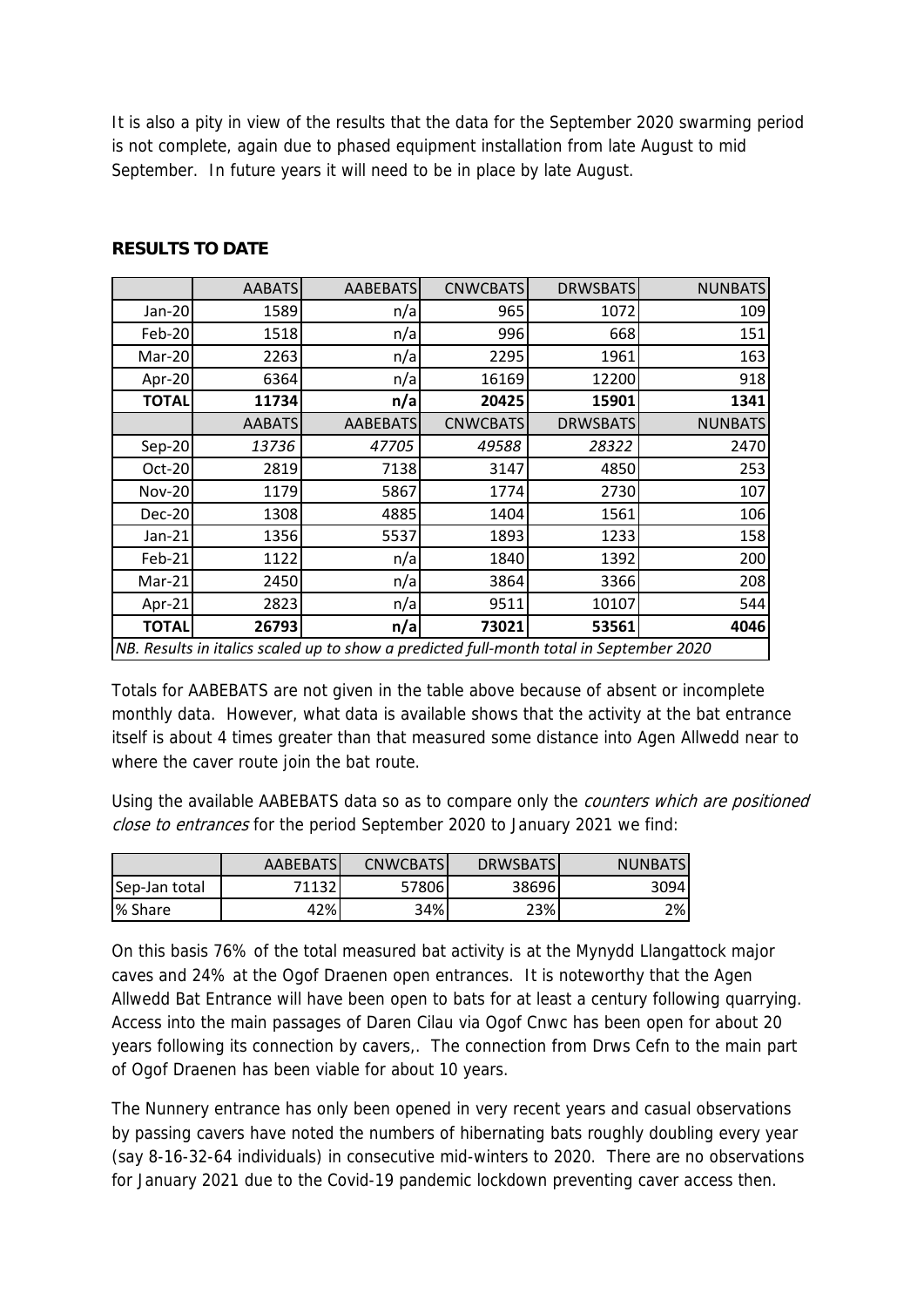It is also a pity in view of the results that the data for the September 2020 swarming period is not complete, again due to phased equipment installation from late August to mid September. In future years it will need to be in place by late August.

|                                                                                         | <b>AABATS</b> | <b>AABEBATS</b> | <b>CNWCBATS</b> | <b>DRWSBATS</b> | <b>NUNBATS</b> |  |  |
|-----------------------------------------------------------------------------------------|---------------|-----------------|-----------------|-----------------|----------------|--|--|
| Jan-20                                                                                  | 1589          | n/a             | 965             | 1072            | 109            |  |  |
| Feb-20                                                                                  | 1518          | n/a             | 996             | 668             | 151            |  |  |
| Mar-20                                                                                  | 2263          | n/a             | 2295            | 1961            | 163            |  |  |
| Apr-20                                                                                  | 6364          | n/a             | 16169           | 12200           | 918            |  |  |
| <b>TOTAL</b>                                                                            | 11734         | n/a             | 20425           | 15901           | 1341           |  |  |
|                                                                                         | <b>AABATS</b> | <b>AABEBATS</b> | <b>CNWCBATS</b> | <b>DRWSBATS</b> | <b>NUNBATS</b> |  |  |
| Sep-20                                                                                  | 13736         | 47705           | 49588           | 28322           | 2470           |  |  |
| Oct-20                                                                                  | 2819          | 7138            | 3147            | 4850            | 253            |  |  |
| <b>Nov-20</b>                                                                           | 1179          | 5867            | 1774            | 2730            | 107            |  |  |
| <b>Dec-20</b>                                                                           | 1308          | 4885            | 1404            | 1561            | 106            |  |  |
| Jan-21                                                                                  | 1356          | 5537            | 1893            | 1233            | 158            |  |  |
| Feb-21                                                                                  | 1122          | n/a             | 1840            | 1392            | 200            |  |  |
| Mar-21                                                                                  | 2450          | n/a             | 3864            | 3366            | 208            |  |  |
| Apr-21                                                                                  | 2823          | n/a             | 9511            | 10107           | 544            |  |  |
| <b>TOTAL</b>                                                                            | 26793         | n/a             | 73021           | 53561           | 4046           |  |  |
| NB. Results in italics scaled up to show a predicted full-month total in September 2020 |               |                 |                 |                 |                |  |  |

# **RESULTS TO DATE**

Totals for AABEBATS are not given in the table above because of absent or incomplete monthly data. However, what data is available shows that the activity at the bat entrance itself is about 4 times greater than that measured some distance into Agen Allwedd near to where the caver route join the bat route.

Using the available AABEBATS data so as to compare only the *counters which are positioned* close to entrances for the period September 2020 to January 2021 we find:

|               | AABEBATS | <b>CNWCBATS</b> | <b>DRWSBATS</b> | <b>NUNBATS</b> |
|---------------|----------|-----------------|-----------------|----------------|
| Sep-Jan total | 71132    | 57806           | 38696           | 3094           |
| I% Share      | 42%l     | 34%             | 23%             | $2\%$          |

On this basis 76% of the total measured bat activity is at the Mynydd Llangattock major caves and 24% at the Ogof Draenen open entrances. It is noteworthy that the Agen Allwedd Bat Entrance will have been open to bats for at least a century following quarrying. Access into the main passages of Daren Cilau via Ogof Cnwc has been open for about 20 years following its connection by cavers,. The connection from Drws Cefn to the main part of Ogof Draenen has been viable for about 10 years.

The Nunnery entrance has only been opened in very recent years and casual observations by passing cavers have noted the numbers of hibernating bats roughly doubling every year (say 8-16-32-64 individuals) in consecutive mid-winters to 2020. There are no observations for January 2021 due to the Covid-19 pandemic lockdown preventing caver access then.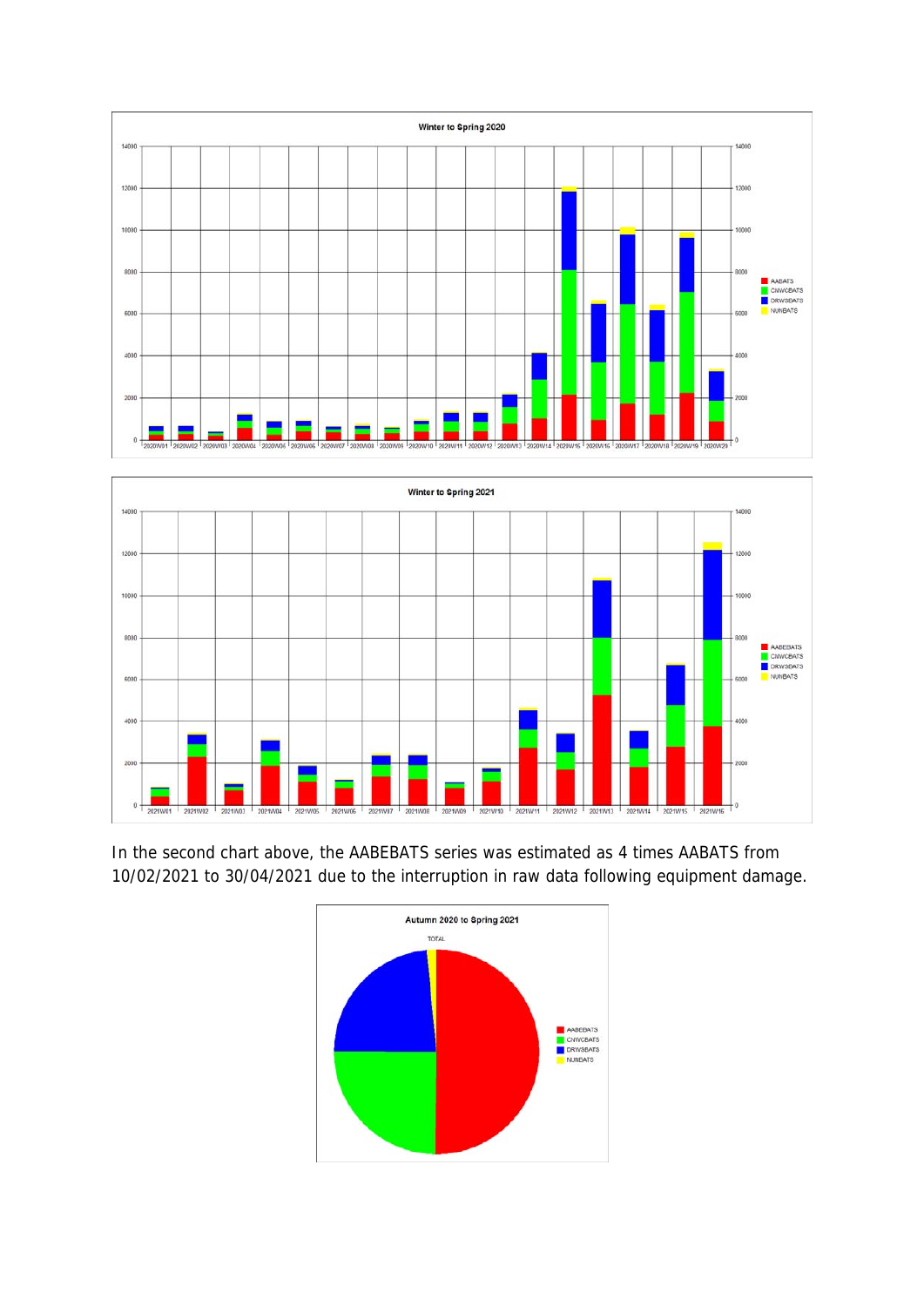



In the second chart above, the AABEBATS series was estimated as 4 times AABATS from 10/02/2021 to 30/04/2021 due to the interruption in raw data following equipment damage.

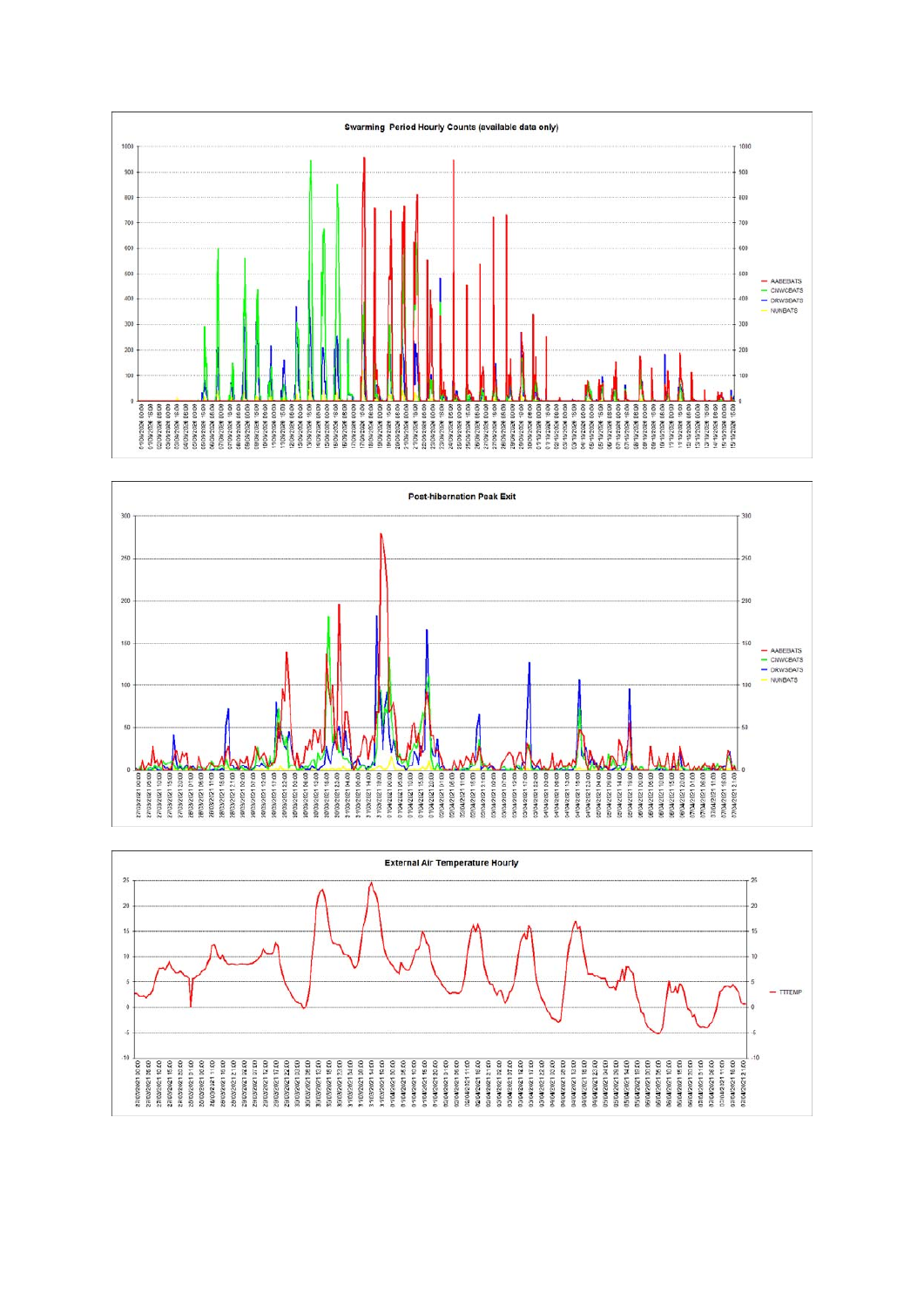